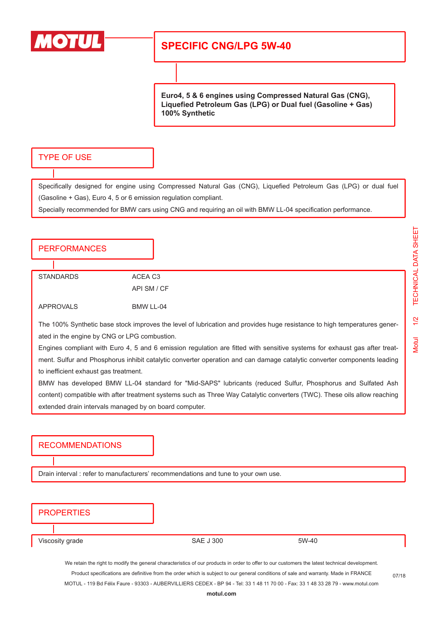

# **SPECIFIC CNG/LPG 5W-40**

**Euro4, 5 & 6 engines using Compressed Natural Gas (CNG), Liquefied Petroleum Gas (LPG) or Dual fuel (Gasoline + Gas) 100% Synthetic**

### TYPE OF USE

Specifically designed for engine using Compressed Natural Gas (CNG), Liquefied Petroleum Gas (LPG) or dual fuel (Gasoline + Gas), Euro 4, 5 or 6 emission regulation compliant.

Specially recommended for BMW cars using CNG and requiring an oil with BMW LL-04 specification performance.

### **PERFORMANCES**

STANDARDS ACEA C3 API SM / CF APPROVALS BMW LL-04

The 100% Synthetic base stock improves the level of lubrication and provides huge resistance to high temperatures generated in the engine by CNG or LPG combustion.

Engines compliant with Euro 4, 5 and 6 emission regulation are fitted with sensitive systems for exhaust gas after treatment. Sulfur and Phosphorus inhibit catalytic converter operation and can damage catalytic converter components leading to inefficient exhaust gas treatment.

BMW has developed BMW LL-04 standard for "Mid-SAPS" lubricants (reduced Sulfur, Phosphorus and Sulfated Ash content) compatible with after treatment systems such as Three Way Catalytic converters (TWC). These oils allow reaching extended drain intervals managed by on board computer.

#### RECOMMENDATIONS

Drain interval : refer to manufacturers' recommendations and tune to your own use.

## **PROPERTIES**

Viscosity grade 5W-40

We retain the right to modify the general characteristics of our products in order to offer to our customers the latest technical development. Product specifications are definitive from the order which is subject to our general conditions of sale and warranty. Made in FRANCE MOTUL - 119 Bd Félix Faure - 93303 - AUBERVILLIERS CEDEX - BP 94 - Tel: 33 1 48 11 70 00 - Fax: 33 1 48 33 28 79 - www.motul.com

07/18